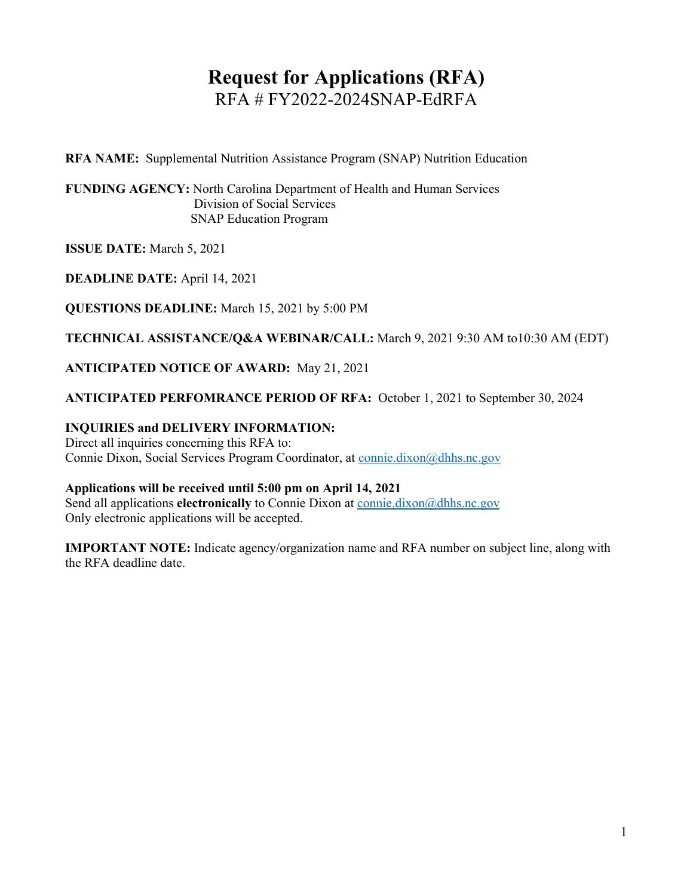# **Request for Applications (RFA)** RFA # FY2022-2024SNAP-EdRFA

**RFA NAME:** Supplemental Nutrition Assistance Program (SNAP) Nutrition Education

**FUNDING AGENCY:** North Carolina Department of Health and Human Services Division of Social Services SNAP Education Program

**ISSUE DATE:** March 5, 2021

**DEADLINE DATE:** April 14, 2021

**QUESTIONS DEADLINE:** March 15, 2021 by 5:00 PM

**TECHNICAL ASSISTANCE/Q&A WEBINAR/CALL:** March 9, 2021 9:30 AM to10:30 AM (EDT)

**ANTICIPATED NOTICE OF AWARD:** May 21, 2021

**ANTICIPATED PERFOMRANCE PERIOD OF RFA:** October 1, 2021 to September 30, 2024

### **INQUIRIES and DELIVERY INFORMATION:**

Direct all inquiries concerning this RFA to: Connie Dixon, Social Services Program Coordinator, at [connie.dixon@dhhs.nc.gov](mailto:connie.dixon@dhhs.nc.gov)

### **Applications will be received until 5:00 pm on April 14, 2021**

Send all applications **electronically** to Connie Dixon at [connie.dixon@dhhs.nc.gov](mailto:connie.dixon@dhhs.nc.gov) Only electronic applications will be accepted.

**IMPORTANT NOTE:** Indicate agency/organization name and RFA number on subject line, along with the RFA deadline date.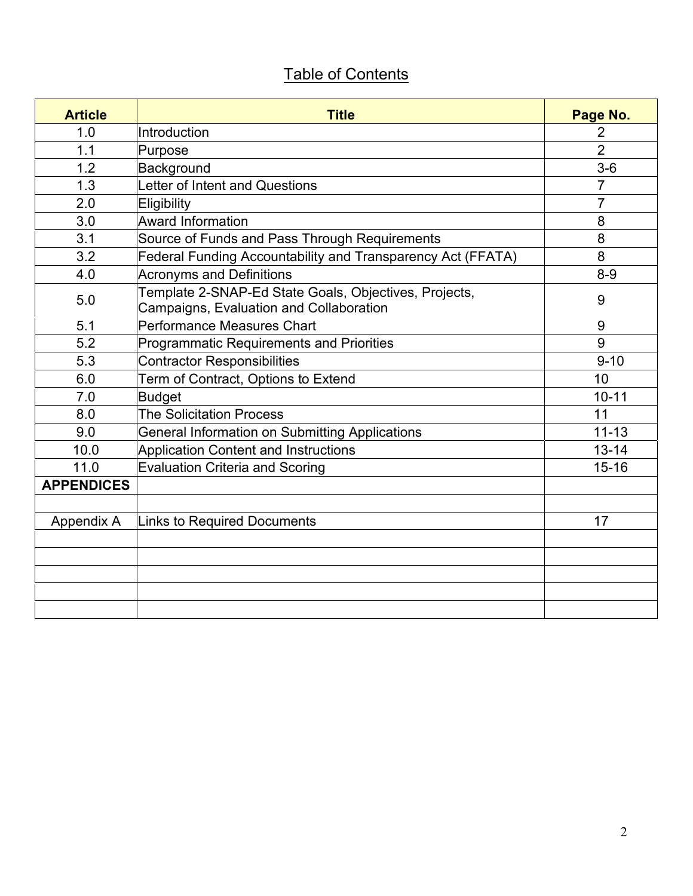# Table of Contents

| <b>Article</b>    | <b>Title</b>                                                                                     | Page No.       |
|-------------------|--------------------------------------------------------------------------------------------------|----------------|
| 1.0               | Introduction                                                                                     | 2              |
| 1.1               | Purpose                                                                                          | $\overline{2}$ |
| 1.2               | Background                                                                                       | $3-6$          |
| 1.3               | Letter of Intent and Questions                                                                   | $\overline{7}$ |
| 2.0               | Eligibility                                                                                      | 7              |
| 3.0               | Award Information                                                                                | 8              |
| 3.1               | Source of Funds and Pass Through Requirements                                                    | 8              |
| 3.2               | Federal Funding Accountability and Transparency Act (FFATA)                                      | 8              |
| 4.0               | <b>Acronyms and Definitions</b>                                                                  | $8-9$          |
| 5.0               | Template 2-SNAP-Ed State Goals, Objectives, Projects,<br>Campaigns, Evaluation and Collaboration | 9              |
| 5.1               | Performance Measures Chart                                                                       | 9              |
| 5.2               | Programmatic Requirements and Priorities                                                         | 9              |
| 5.3               | <b>Contractor Responsibilities</b>                                                               | $9 - 10$       |
| 6.0               | Term of Contract, Options to Extend                                                              | 10             |
| 7.0               | <b>Budget</b>                                                                                    | $10 - 11$      |
| 8.0               | <b>The Solicitation Process</b>                                                                  | 11             |
| 9.0               | <b>General Information on Submitting Applications</b>                                            | $11 - 13$      |
| 10.0              | Application Content and Instructions                                                             | $13 - 14$      |
| 11.0              | <b>Evaluation Criteria and Scoring</b>                                                           | $15 - 16$      |
| <b>APPENDICES</b> |                                                                                                  |                |
|                   |                                                                                                  |                |
| Appendix A        | <b>Links to Required Documents</b>                                                               | 17             |
|                   |                                                                                                  |                |
|                   |                                                                                                  |                |
|                   |                                                                                                  |                |
|                   |                                                                                                  |                |
|                   |                                                                                                  |                |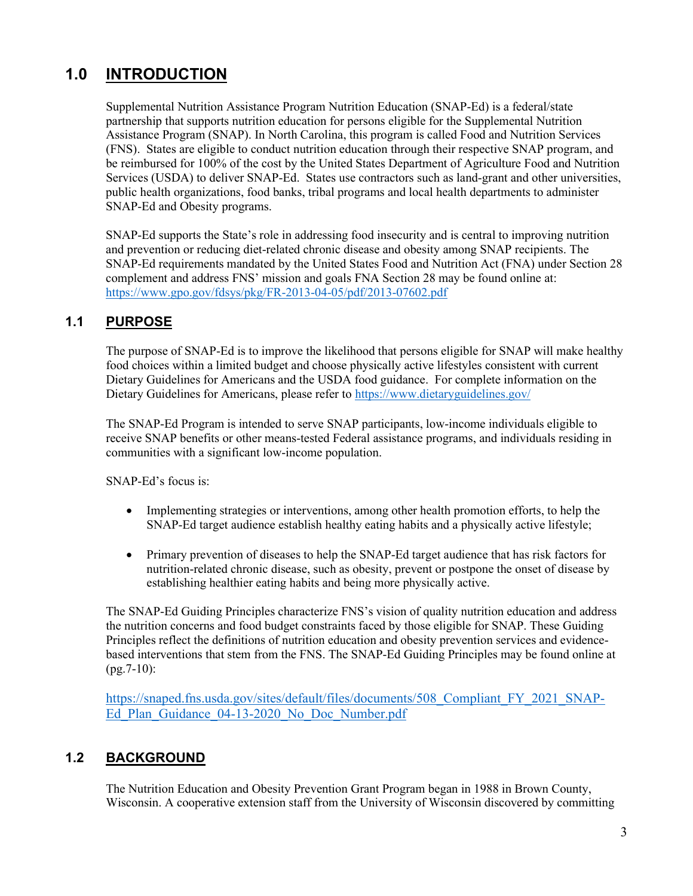# **1.0 INTRODUCTION**

Supplemental Nutrition Assistance Program Nutrition Education (SNAP-Ed) is a federal/state partnership that supports nutrition education for persons eligible for the Supplemental Nutrition Assistance Program (SNAP). In North Carolina, this program is called Food and Nutrition Services (FNS). States are eligible to conduct nutrition education through their respective SNAP program, and be reimbursed for 100% of the cost by the United States Department of Agriculture Food and Nutrition Services (USDA) to deliver SNAP-Ed. States use contractors such as land-grant and other universities, public health organizations, food banks, tribal programs and local health departments to administer SNAP-Ed and Obesity programs.

SNAP-Ed supports the State's role in addressing food insecurity and is central to improving nutrition and prevention or reducing diet-related chronic disease and obesity among SNAP recipients. The SNAP-Ed requirements mandated by the United States Food and Nutrition Act (FNA) under Section 28 complement and address FNS' mission and goals FNA Section 28 may be found online at: <https://www.gpo.gov/fdsys/pkg/FR-2013-04-05/pdf/2013-07602.pdf>

### **1.1 PURPOSE**

The purpose of SNAP-Ed is to improve the likelihood that persons eligible for SNAP will make healthy food choices within a limited budget and choose physically active lifestyles consistent with current Dietary Guidelines for Americans and the USDA food guidance. For complete information on the Dietary Guidelines for Americans, please refer to <https://www.dietaryguidelines.gov/>

The SNAP-Ed Program is intended to serve SNAP participants, low-income individuals eligible to receive SNAP benefits or other means-tested Federal assistance programs, and individuals residing in communities with a significant low-income population.

SNAP-Ed's focus is:

- Implementing strategies or interventions, among other health promotion efforts, to help the SNAP-Ed target audience establish healthy eating habits and a physically active lifestyle;
- Primary prevention of diseases to help the SNAP-Ed target audience that has risk factors for nutrition-related chronic disease, such as obesity, prevent or postpone the onset of disease by establishing healthier eating habits and being more physically active.

The SNAP-Ed Guiding Principles characterize FNS's vision of quality nutrition education and address the nutrition concerns and food budget constraints faced by those eligible for SNAP. These Guiding Principles reflect the definitions of nutrition education and obesity prevention services and evidencebased interventions that stem from the FNS. The SNAP-Ed Guiding Principles may be found online at (pg.7-10):

https://snaped.fns.usda.gov/sites/default/files/documents/508 Compliant FY 2021 SNAP-Ed Plan Guidance 04-13-2020 No Doc Number.pdf

### **1.2 BACKGROUND**

The Nutrition Education and Obesity Prevention Grant Program began in 1988 in Brown County, Wisconsin. A cooperative extension staff from the University of Wisconsin discovered by committing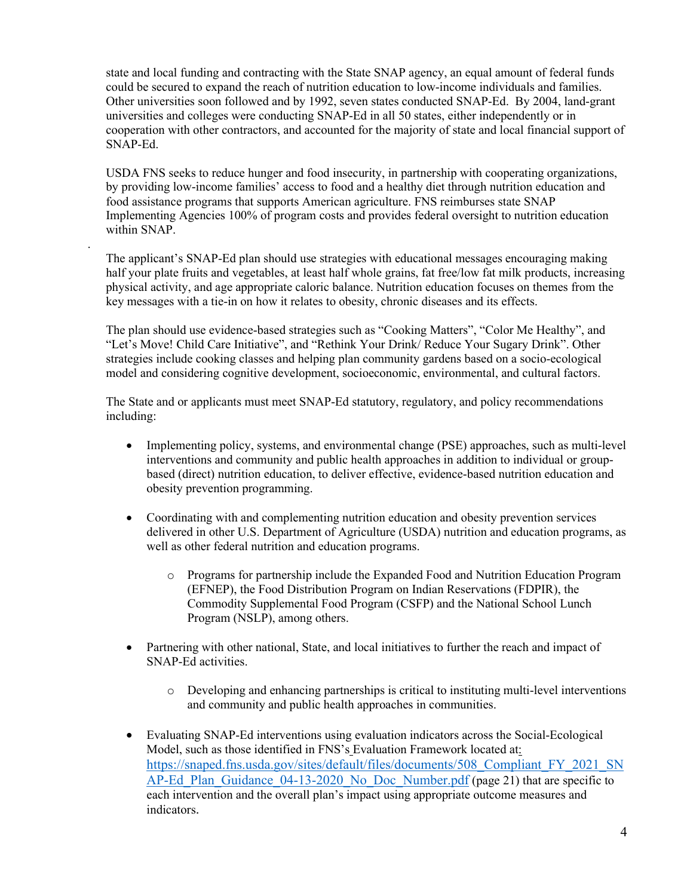state and local funding and contracting with the State SNAP agency, an equal amount of federal funds could be secured to expand the reach of nutrition education to low-income individuals and families. Other universities soon followed and by 1992, seven states conducted SNAP-Ed. By 2004, land-grant universities and colleges were conducting SNAP-Ed in all 50 states, either independently or in cooperation with other contractors, and accounted for the majority of state and local financial support of SNAP-Ed.

USDA FNS seeks to reduce hunger and food insecurity, in partnership with cooperating organizations, by providing low-income families' access to food and a healthy diet through nutrition education and food assistance programs that supports American agriculture. FNS reimburses state SNAP Implementing Agencies 100% of program costs and provides federal oversight to nutrition education within SNAP.

.

The applicant's SNAP-Ed plan should use strategies with educational messages encouraging making half your plate fruits and vegetables, at least half whole grains, fat free/low fat milk products, increasing physical activity, and age appropriate caloric balance. Nutrition education focuses on themes from the key messages with a tie-in on how it relates to obesity, chronic diseases and its effects.

The plan should use evidence-based strategies such as "Cooking Matters", "Color Me Healthy", and "Let's Move! Child Care Initiative", and "Rethink Your Drink/ Reduce Your Sugary Drink". Other strategies include cooking classes and helping plan community gardens based on a socio-ecological model and considering cognitive development, socioeconomic, environmental, and cultural factors.

The State and or applicants must meet SNAP-Ed statutory, regulatory, and policy recommendations including:

- Implementing policy, systems, and environmental change (PSE) approaches, such as multi-level interventions and community and public health approaches in addition to individual or groupbased (direct) nutrition education, to deliver effective, evidence-based nutrition education and obesity prevention programming.
- Coordinating with and complementing nutrition education and obesity prevention services delivered in other U.S. Department of Agriculture (USDA) nutrition and education programs, as well as other federal nutrition and education programs.
	- o Programs for partnership include the Expanded Food and Nutrition Education Program (EFNEP), the Food Distribution Program on Indian Reservations (FDPIR), the Commodity Supplemental Food Program (CSFP) and the National School Lunch Program (NSLP), among others.
- Partnering with other national, State, and local initiatives to further the reach and impact of SNAP-Ed activities.
	- o Developing and enhancing partnerships is critical to instituting multi-level interventions and community and public health approaches in communities.
- Evaluating SNAP-Ed interventions using evaluation indicators across the Social-Ecological Model, such as those identified in FNS's Evaluation Framework located at: https://snaped.fns.usda.gov/sites/default/files/documents/508 Compliant FY\_2021\_SN [AP-Ed\\_Plan\\_Guidance\\_04-13-2020\\_No\\_Doc\\_Number.pdf](https://snaped.fns.usda.gov/sites/default/files/documents/508_Compliant_FY_2021_SNAP-Ed_Plan_Guidance_04-13-2020_No_Doc_Number.pdf) (page 21) that are specific to each intervention and the overall plan's impact using appropriate outcome measures and indicators.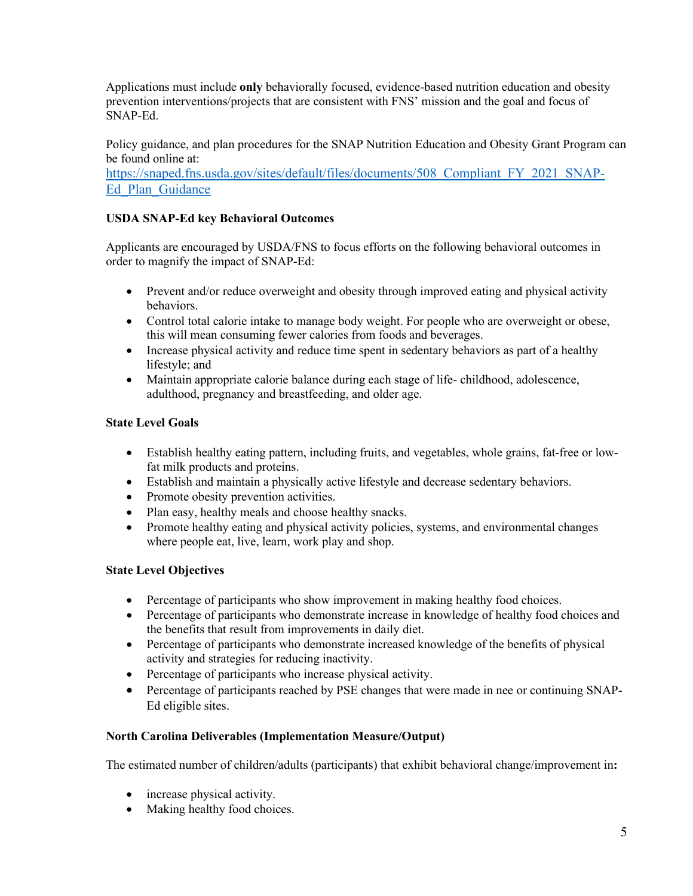Applications must include **only** behaviorally focused, evidence-based nutrition education and obesity prevention interventions/projects that are consistent with FNS' mission and the goal and focus of SNAP-Ed.

Policy guidance, and plan procedures for the SNAP Nutrition Education and Obesity Grant Program can be found online at:

https://snaped.fns.usda.gov/sites/default/files/documents/508 Compliant FY 2021 SNAP-[Ed\\_Plan\\_Guidance](https://snaped.fns.usda.gov/sites/default/files/documents/508_Compliant_FY_2021_SNAP-Ed_Plan_Guidance_04-13-2020_No_Doc_Number.pdf)

### **USDA SNAP-Ed key Behavioral Outcomes**

Applicants are encouraged by USDA/FNS to focus efforts on the following behavioral outcomes in order to magnify the impact of SNAP-Ed:

- Prevent and/or reduce overweight and obesity through improved eating and physical activity behaviors.
- Control total calorie intake to manage body weight. For people who are overweight or obese, this will mean consuming fewer calories from foods and beverages.
- Increase physical activity and reduce time spent in sedentary behaviors as part of a healthy lifestyle; and
- Maintain appropriate calorie balance during each stage of life- childhood, adolescence, adulthood, pregnancy and breastfeeding, and older age.

### **State Level Goals**

- Establish healthy eating pattern, including fruits, and vegetables, whole grains, fat-free or lowfat milk products and proteins.
- Establish and maintain a physically active lifestyle and decrease sedentary behaviors.
- Promote obesity prevention activities.
- Plan easy, healthy meals and choose healthy snacks.
- Promote healthy eating and physical activity policies, systems, and environmental changes where people eat, live, learn, work play and shop.

### **State Level Objectives**

- Percentage of participants who show improvement in making healthy food choices.
- Percentage of participants who demonstrate increase in knowledge of healthy food choices and the benefits that result from improvements in daily diet.
- Percentage of participants who demonstrate increased knowledge of the benefits of physical activity and strategies for reducing inactivity.
- Percentage of participants who increase physical activity.
- Percentage of participants reached by PSE changes that were made in nee or continuing SNAP-Ed eligible sites.

### **North Carolina Deliverables (Implementation Measure/Output)**

The estimated number of children/adults (participants) that exhibit behavioral change/improvement in**:** 

- increase physical activity.
- Making healthy food choices.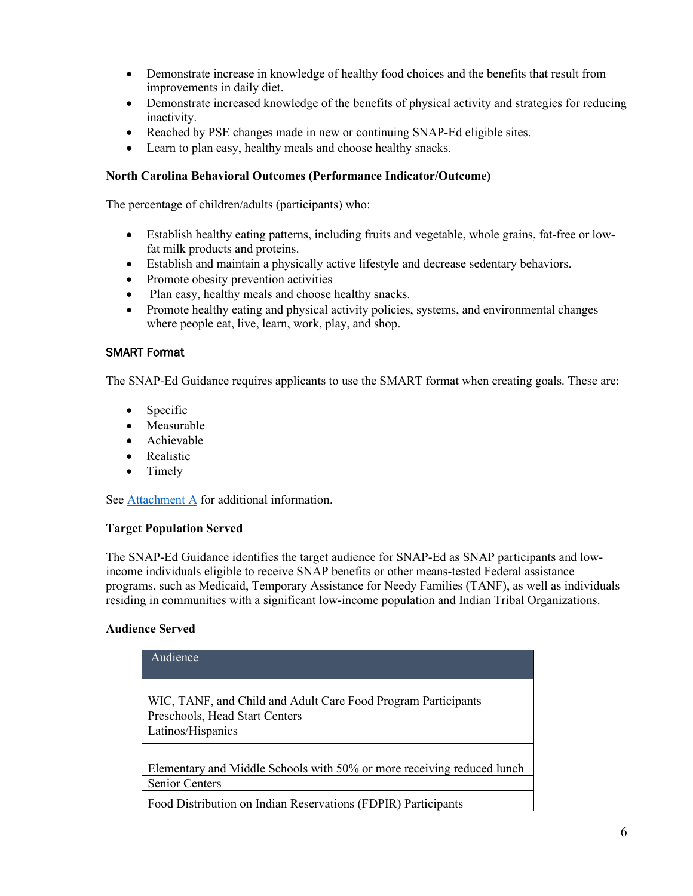- Demonstrate increase in knowledge of healthy food choices and the benefits that result from improvements in daily diet.
- Demonstrate increased knowledge of the benefits of physical activity and strategies for reducing inactivity.
- Reached by PSE changes made in new or continuing SNAP-Ed eligible sites.
- Learn to plan easy, healthy meals and choose healthy snacks.

#### **North Carolina Behavioral Outcomes (Performance Indicator/Outcome)**

The percentage of children/adults (participants) who:

- Establish healthy eating patterns, including fruits and vegetable, whole grains, fat-free or lowfat milk products and proteins.
- Establish and maintain a physically active lifestyle and decrease sedentary behaviors.
- Promote obesity prevention activities
- Plan easy, healthy meals and choose healthy snacks.
- Promote healthy eating and physical activity policies, systems, and environmental changes where people eat, live, learn, work, play, and shop.

#### SMART Format

The SNAP-Ed Guidance requires applicants to use the SMART format when creating goals. These are:

- Specific
- Measurable
- Achievable
- Realistic
- Timely

See [Attachment A](#page-22-0) for additional information.

#### **Target Population Served**

The SNAP-Ed Guidance identifies the target audience for SNAP-Ed as SNAP participants and lowincome individuals eligible to receive SNAP benefits or other means-tested Federal assistance programs, such as Medicaid, Temporary Assistance for Needy Families (TANF), as well as individuals residing in communities with a significant low-income population and Indian Tribal Organizations.

#### **Audience Served**

| Audience                                                                                        |
|-------------------------------------------------------------------------------------------------|
| WIC, TANF, and Child and Adult Care Food Program Participants                                   |
| Preschools, Head Start Centers                                                                  |
| Latinos/Hispanics                                                                               |
| Elementary and Middle Schools with 50% or more receiving reduced lunch<br><b>Senior Centers</b> |
| Food Distribution on Indian Reservations (FDPIR) Participants                                   |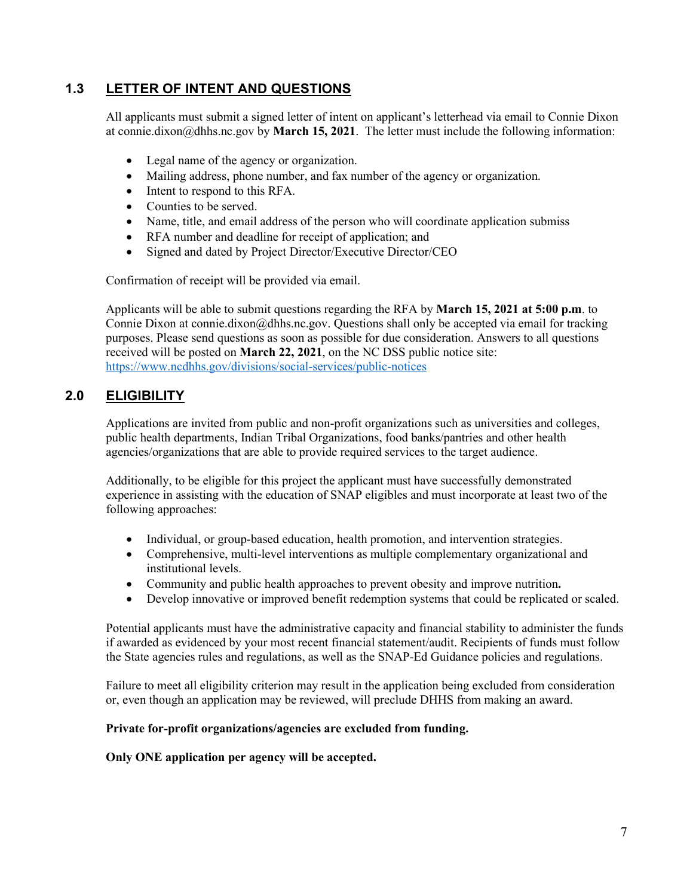### **1.3 LETTER OF INTENT AND QUESTIONS**

All applicants must submit a signed letter of intent on applicant's letterhead via email to Connie Dixon at connie.dixon@dhhs.nc.gov by **March 15, 2021**. The letter must include the following information:

- Legal name of the agency or organization.
- Mailing address, phone number, and fax number of the agency or organization.
- Intent to respond to this RFA.
- Counties to be served.
- Name, title, and email address of the person who will coordinate application submiss
- RFA number and deadline for receipt of application; and
- Signed and dated by Project Director/Executive Director/CEO

Confirmation of receipt will be provided via email.

Applicants will be able to submit questions regarding the RFA by **March 15, 2021 at 5:00 p.m**. to Connie Dixon at connie.dixon@dhhs.nc.gov. Questions shall only be accepted via email for tracking purposes. Please send questions as soon as possible for due consideration. Answers to all questions received will be posted on **March 22, 2021**, on the NC DSS public notice site: <https://www.ncdhhs.gov/divisions/social-services/public-notices>

### **2.0 ELIGIBILITY**

Applications are invited from public and non-profit organizations such as universities and colleges, public health departments, Indian Tribal Organizations, food banks/pantries and other health agencies/organizations that are able to provide required services to the target audience.

Additionally, to be eligible for this project the applicant must have successfully demonstrated experience in assisting with the education of SNAP eligibles and must incorporate at least two of the following approaches:

- Individual, or group-based education, health promotion, and intervention strategies.
- Comprehensive, multi-level interventions as multiple complementary organizational and institutional levels.
- Community and public health approaches to prevent obesity and improve nutrition**.**
- Develop innovative or improved benefit redemption systems that could be replicated or scaled.

Potential applicants must have the administrative capacity and financial stability to administer the funds if awarded as evidenced by your most recent financial statement/audit. Recipients of funds must follow the State agencies rules and regulations, as well as the SNAP-Ed Guidance policies and regulations.

Failure to meet all eligibility criterion may result in the application being excluded from consideration or, even though an application may be reviewed, will preclude DHHS from making an award.

#### **Private for-profit organizations/agencies are excluded from funding.**

**Only ONE application per agency will be accepted.**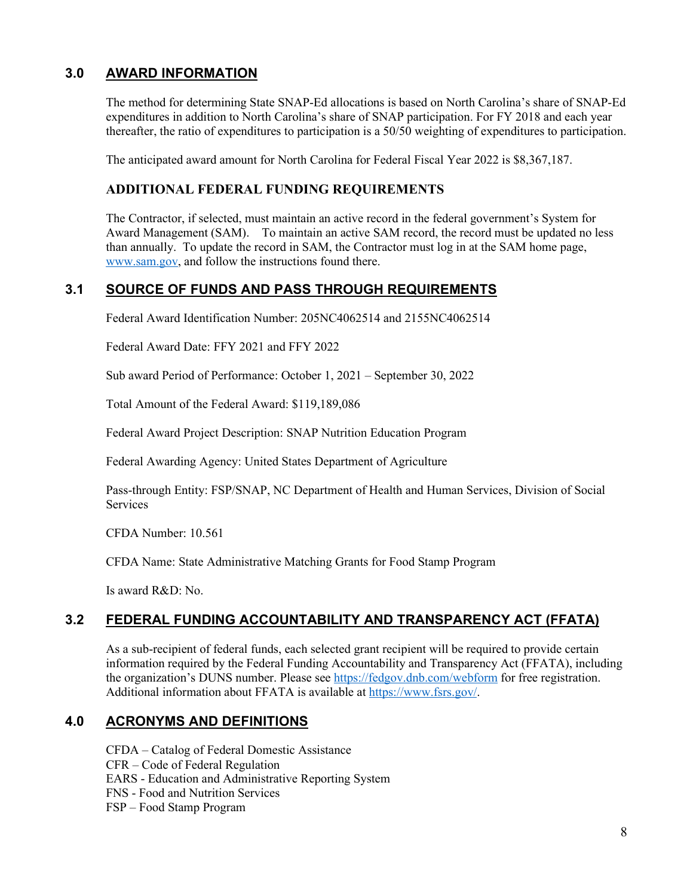### **3.0 AWARD INFORMATION**

The method for determining State SNAP-Ed allocations is based on North Carolina's share of SNAP-Ed expenditures in addition to North Carolina's share of SNAP participation. For FY 2018 and each year thereafter, the ratio of expenditures to participation is a 50/50 weighting of expenditures to participation.

The anticipated award amount for North Carolina for Federal Fiscal Year 2022 is \$8,367,187.

### **ADDITIONAL FEDERAL FUNDING REQUIREMENTS**

The Contractor, if selected, must maintain an active record in the federal government's System for Award Management (SAM). To maintain an active SAM record, the record must be updated no less than annually. To update the record in SAM, the Contractor must log in at the SAM home page, [www.sam.gov,](http://www.sam.gov/) and follow the instructions found there.

### **3.1 SOURCE OF FUNDS AND PASS THROUGH REQUIREMENTS**

Federal Award Identification Number: 205NC4062514 and 2155NC4062514

Federal Award Date: FFY 2021 and FFY 2022

Sub award Period of Performance: October 1, 2021 – September 30, 2022

Total Amount of the Federal Award: \$119,189,086

Federal Award Project Description: SNAP Nutrition Education Program

Federal Awarding Agency: United States Department of Agriculture

Pass-through Entity: FSP/SNAP, NC Department of Health and Human Services, Division of Social Services

CFDA Number: 10.561

CFDA Name: State Administrative Matching Grants for Food Stamp Program

Is award R&D: No.

### **3.2 FEDERAL FUNDING ACCOUNTABILITY AND TRANSPARENCY ACT (FFATA)**

As a sub-recipient of federal funds, each selected grant recipient will be required to provide certain information required by the Federal Funding Accountability and Transparency Act (FFATA), including the organization's DUNS number. Please see<https://fedgov.dnb.com/webform> for free registration. Additional information about FFATA is available at [https://www.fsrs.gov/.](https://www.fsrs.gov/)

### **4.0 ACRONYMS AND DEFINITIONS**

CFDA – Catalog of Federal Domestic Assistance CFR – Code of Federal Regulation EARS - Education and Administrative Reporting System FNS - Food and Nutrition Services FSP – Food Stamp Program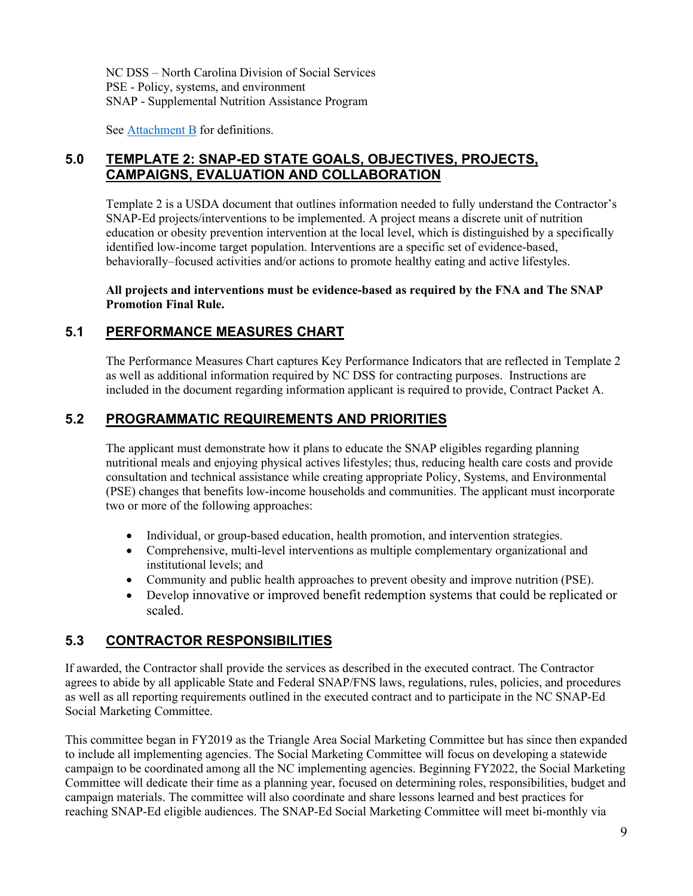NC DSS – North Carolina Division of Social Services PSE - Policy, systems, and environment SNAP - Supplemental Nutrition Assistance Program

See [Attachment B](#page-24-0) for definitions.

### **5.0 TEMPLATE 2: SNAP-ED STATE GOALS, OBJECTIVES, PROJECTS, CAMPAIGNS, EVALUATION AND COLLABORATION**

Template 2 is a USDA document that outlines information needed to fully understand the Contractor's SNAP-Ed projects/interventions to be implemented. A project means a discrete unit of nutrition education or obesity prevention intervention at the local level, which is distinguished by a specifically identified low-income target population. Interventions are a specific set of evidence-based, behaviorally–focused activities and/or actions to promote healthy eating and active lifestyles.

**All projects and interventions must be evidence-based as required by the FNA and The SNAP Promotion Final Rule.**

### **5.1 PERFORMANCE MEASURES CHART**

The Performance Measures Chart captures Key Performance Indicators that are reflected in Template 2 as well as additional information required by NC DSS for contracting purposes. Instructions are included in the document regarding information applicant is required to provide, Contract Packet A.

### **5.2 PROGRAMMATIC REQUIREMENTS AND PRIORITIES**

The applicant must demonstrate how it plans to educate the SNAP eligibles regarding planning nutritional meals and enjoying physical actives lifestyles; thus, reducing health care costs and provide consultation and technical assistance while creating appropriate Policy, Systems, and Environmental (PSE) changes that benefits low-income households and communities. The applicant must incorporate two or more of the following approaches:

- Individual, or group-based education, health promotion, and intervention strategies.
- Comprehensive, multi-level interventions as multiple complementary organizational and institutional levels; and
- Community and public health approaches to prevent obesity and improve nutrition (PSE).
- Develop innovative or improved benefit redemption systems that could be replicated or scaled.

### **5.3 CONTRACTOR RESPONSIBILITIES**

If awarded, the Contractor shall provide the services as described in the executed contract. The Contractor agrees to abide by all applicable State and Federal SNAP/FNS laws, regulations, rules, policies, and procedures as well as all reporting requirements outlined in the executed contract and to participate in the NC SNAP-Ed Social Marketing Committee.

This committee began in FY2019 as the Triangle Area Social Marketing Committee but has since then expanded to include all implementing agencies. The Social Marketing Committee will focus on developing a statewide campaign to be coordinated among all the NC implementing agencies. Beginning FY2022, the Social Marketing Committee will dedicate their time as a planning year, focused on determining roles, responsibilities, budget and campaign materials. The committee will also coordinate and share lessons learned and best practices for reaching SNAP-Ed eligible audiences. The SNAP-Ed Social Marketing Committee will meet bi-monthly via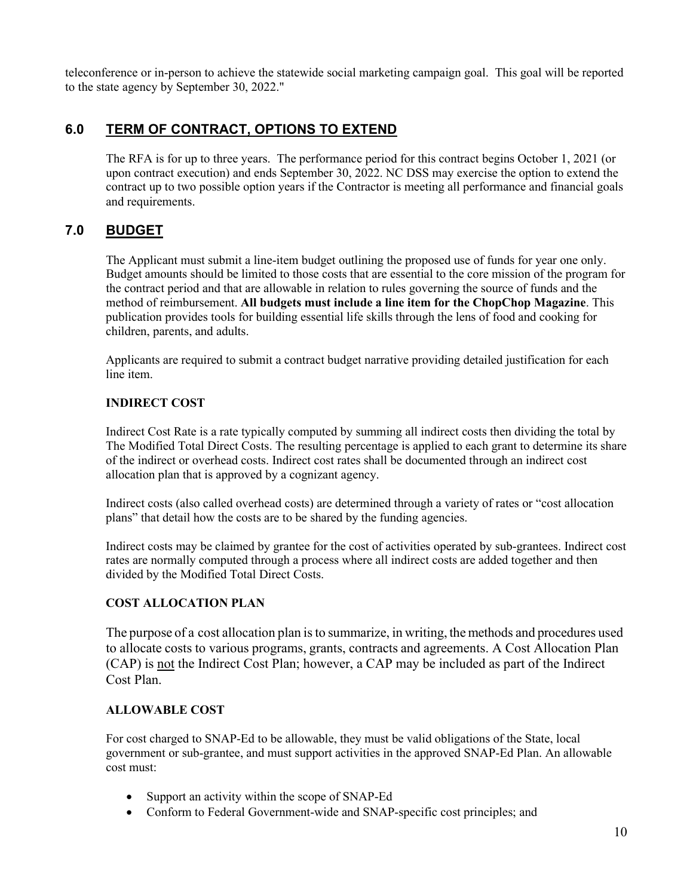teleconference or in-person to achieve the statewide social marketing campaign goal. This goal will be reported to the state agency by September 30, 2022."

### **6.0 TERM OF CONTRACT, OPTIONS TO EXTEND**

The RFA is for up to three years. The performance period for this contract begins October 1, 2021 (or upon contract execution) and ends September 30, 2022. NC DSS may exercise the option to extend the contract up to two possible option years if the Contractor is meeting all performance and financial goals and requirements.

### **7.0 BUDGET**

The Applicant must submit a line-item budget outlining the proposed use of funds for year one only. Budget amounts should be limited to those costs that are essential to the core mission of the program for the contract period and that are allowable in relation to rules governing the source of funds and the method of reimbursement. **All budgets must include a line item for the ChopChop Magazine**. This publication provides tools for building essential life skills through the lens of food and cooking for children, parents, and adults.

Applicants are required to submit a contract budget narrative providing detailed justification for each line item.

### **INDIRECT COST**

Indirect Cost Rate is a rate typically computed by summing all indirect costs then dividing the total by The Modified Total Direct Costs. The resulting percentage is applied to each grant to determine its share of the indirect or overhead costs. Indirect cost rates shall be documented through an indirect cost allocation plan that is approved by a cognizant agency.

Indirect costs (also called overhead costs) are determined through a variety of rates or "cost allocation plans" that detail how the costs are to be shared by the funding agencies.

Indirect costs may be claimed by grantee for the cost of activities operated by sub-grantees. Indirect cost rates are normally computed through a process where all indirect costs are added together and then divided by the Modified Total Direct Costs.

### **COST ALLOCATION PLAN**

The purpose of a cost allocation plan isto summarize, in writing, the methods and procedures used to allocate costs to various programs, grants, contracts and agreements. A Cost Allocation Plan (CAP) is not the Indirect Cost Plan; however, a CAP may be included as part of the Indirect Cost Plan.

### **ALLOWABLE COST**

For cost charged to SNAP-Ed to be allowable, they must be valid obligations of the State, local government or sub-grantee, and must support activities in the approved SNAP-Ed Plan. An allowable cost must:

- Support an activity within the scope of SNAP-Ed
- Conform to Federal Government-wide and SNAP-specific cost principles; and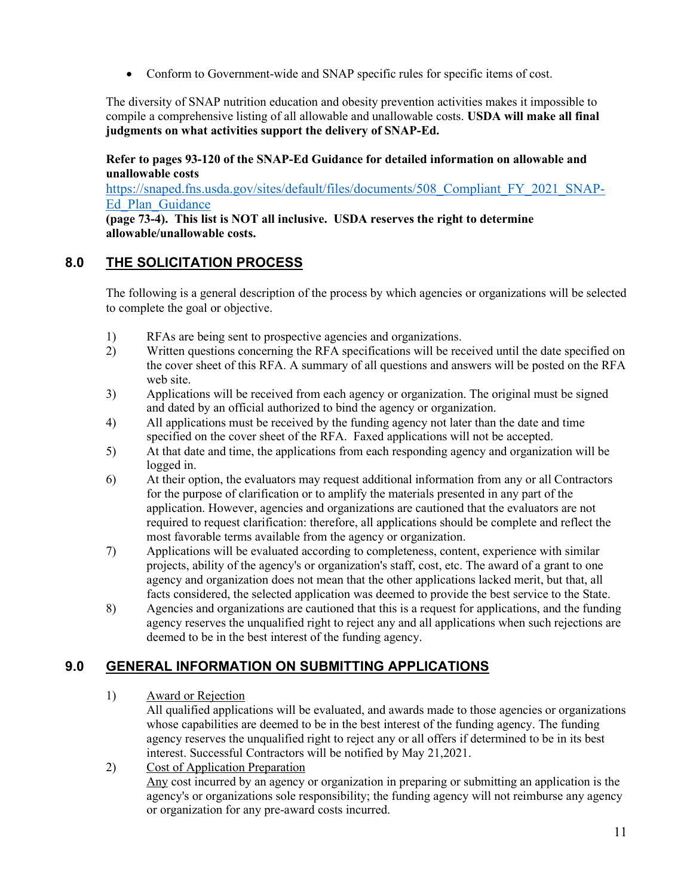• Conform to Government-wide and SNAP specific rules for specific items of cost.

The diversity of SNAP nutrition education and obesity prevention activities makes it impossible to compile a comprehensive listing of all allowable and unallowable costs. **USDA will make all final judgments on what activities support the delivery of SNAP-Ed.** 

**Refer to pages 93-120 of the SNAP-Ed Guidance for detailed information on allowable and unallowable costs** 

[https://snaped.fns.usda.gov/sites/default/files/documents/508\\_Compliant\\_FY\\_2021\\_SNAP-](https://snaped.fns.usda.gov/sites/default/files/documents/508_Compliant_FY_2021_SNAP-Ed_Plan_Guidance_04-13-2020_No_Doc_Number.pdf)[Ed\\_Plan\\_Guidance](https://snaped.fns.usda.gov/sites/default/files/documents/508_Compliant_FY_2021_SNAP-Ed_Plan_Guidance_04-13-2020_No_Doc_Number.pdf)

**(page 73-4). This list is NOT all inclusive. USDA reserves the right to determine allowable/unallowable costs.**

### **8.0 THE SOLICITATION PROCESS**

The following is a general description of the process by which agencies or organizations will be selected to complete the goal or objective.

- 1) RFAs are being sent to prospective agencies and organizations.
- 2) Written questions concerning the RFA specifications will be received until the date specified on the cover sheet of this RFA. A summary of all questions and answers will be posted on the RFA web site.
- 3) Applications will be received from each agency or organization. The original must be signed and dated by an official authorized to bind the agency or organization.
- 4) All applications must be received by the funding agency not later than the date and time specified on the cover sheet of the RFA. Faxed applications will not be accepted.
- 5) At that date and time, the applications from each responding agency and organization will be logged in.
- 6) At their option, the evaluators may request additional information from any or all Contractors for the purpose of clarification or to amplify the materials presented in any part of the application. However, agencies and organizations are cautioned that the evaluators are not required to request clarification: therefore, all applications should be complete and reflect the most favorable terms available from the agency or organization.
- 7) Applications will be evaluated according to completeness, content, experience with similar projects, ability of the agency's or organization's staff, cost, etc. The award of a grant to one agency and organization does not mean that the other applications lacked merit, but that, all facts considered, the selected application was deemed to provide the best service to the State.
- 8) Agencies and organizations are cautioned that this is a request for applications, and the funding agency reserves the unqualified right to reject any and all applications when such rejections are deemed to be in the best interest of the funding agency.

### **9.0 GENERAL INFORMATION ON SUBMITTING APPLICATIONS**

1) Award or Rejection

All qualified applications will be evaluated, and awards made to those agencies or organizations whose capabilities are deemed to be in the best interest of the funding agency. The funding agency reserves the unqualified right to reject any or all offers if determined to be in its best interest. Successful Contractors will be notified by May 21,2021.

2) Cost of Application Preparation Any cost incurred by an agency or organization in preparing or submitting an application is the agency's or organizations sole responsibility; the funding agency will not reimburse any agency or organization for any pre-award costs incurred.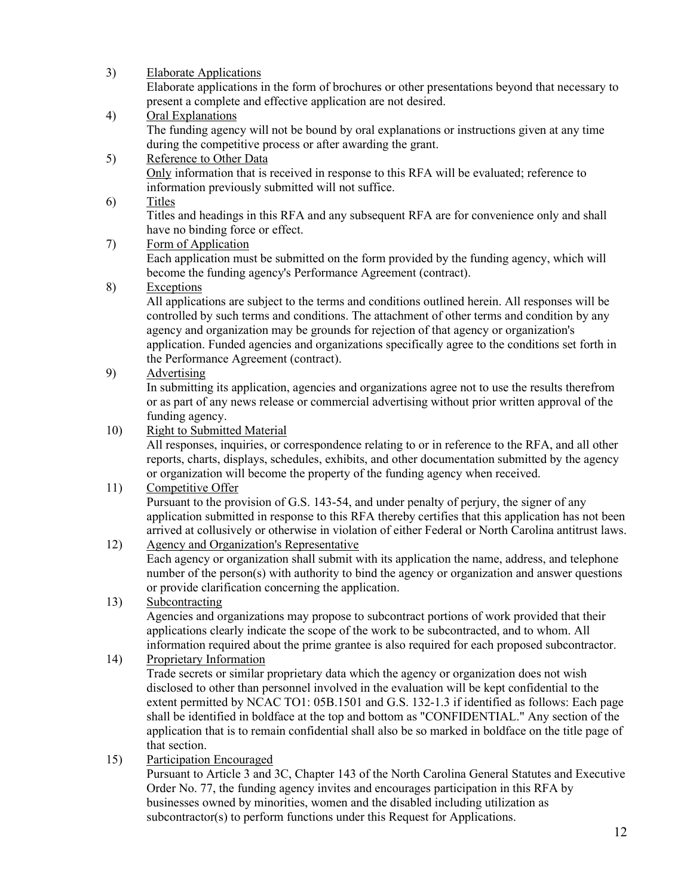| 3) | <b>Elaborate Applications</b>                                                                   |
|----|-------------------------------------------------------------------------------------------------|
|    | Elaborate applications in the form of brochures or other presentations beyond that necessary to |
|    | present a complete and effective application are not desired.                                   |
| 4) | Oral Explanations                                                                               |
|    | The funding agency will not be bound by oral explanations or instructions given at any time     |
|    | during the competitive process or after awarding the grant.                                     |
| 5) | Reference to Other Data                                                                         |
|    | Only information that is received in response to this RFA will be evaluated; reference to       |
|    | information previously submitted will not suffice.                                              |

6) Titles

Titles and headings in this RFA and any subsequent RFA are for convenience only and shall have no binding force or effect.

7) Form of Application

Each application must be submitted on the form provided by the funding agency, which will become the funding agency's Performance Agreement (contract).

### 8) Exceptions

All applications are subject to the terms and conditions outlined herein. All responses will be controlled by such terms and conditions. The attachment of other terms and condition by any agency and organization may be grounds for rejection of that agency or organization's application. Funded agencies and organizations specifically agree to the conditions set forth in the Performance Agreement (contract).

### 9) Advertising

In submitting its application, agencies and organizations agree not to use the results therefrom or as part of any news release or commercial advertising without prior written approval of the funding agency.

10) Right to Submitted Material

All responses, inquiries, or correspondence relating to or in reference to the RFA, and all other reports, charts, displays, schedules, exhibits, and other documentation submitted by the agency or organization will become the property of the funding agency when received.

### 11) Competitive Offer

Pursuant to the provision of G.S. 143-54, and under penalty of perjury, the signer of any application submitted in response to this RFA thereby certifies that this application has not been arrived at collusively or otherwise in violation of either Federal or North Carolina antitrust laws.

### 12) Agency and Organization's Representative

Each agency or organization shall submit with its application the name, address, and telephone number of the person(s) with authority to bind the agency or organization and answer questions or provide clarification concerning the application.

### 13) Subcontracting

Agencies and organizations may propose to subcontract portions of work provided that their applications clearly indicate the scope of the work to be subcontracted, and to whom. All information required about the prime grantee is also required for each proposed subcontractor.

14) Proprietary Information

Trade secrets or similar proprietary data which the agency or organization does not wish disclosed to other than personnel involved in the evaluation will be kept confidential to the extent permitted by NCAC TO1: 05B.1501 and G.S. 132-1.3 if identified as follows: Each page shall be identified in boldface at the top and bottom as "CONFIDENTIAL." Any section of the application that is to remain confidential shall also be so marked in boldface on the title page of that section.

15) Participation Encouraged

Pursuant to Article 3 and 3C, Chapter 143 of the North Carolina General Statutes and Executive Order No. 77, the funding agency invites and encourages participation in this RFA by businesses owned by minorities, women and the disabled including utilization as subcontractor(s) to perform functions under this Request for Applications.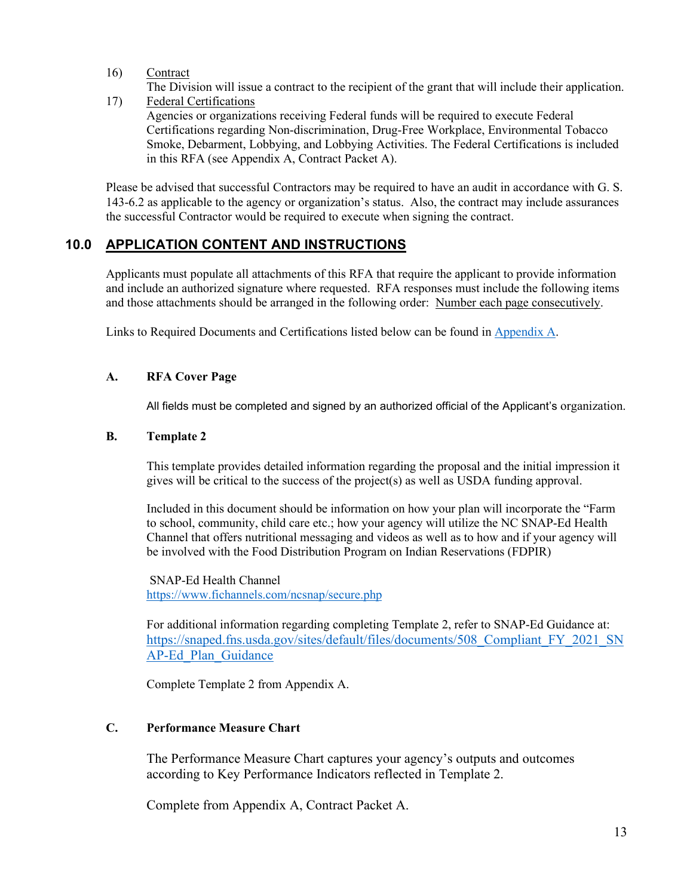16) Contract

The Division will issue a contract to the recipient of the grant that will include their application.

17) Federal Certifications Agencies or organizations receiving Federal funds will be required to execute Federal Certifications regarding Non-discrimination, Drug-Free Workplace, Environmental Tobacco Smoke, Debarment, Lobbying, and Lobbying Activities. The Federal Certifications is included in this RFA (see Appendix A, Contract Packet A).

Please be advised that successful Contractors may be required to have an audit in accordance with G. S. 143-6.2 as applicable to the agency or organization's status. Also, the contract may include assurances the successful Contractor would be required to execute when signing the contract.

### **10.0 APPLICATION CONTENT AND INSTRUCTIONS**

Applicants must populate all attachments of this RFA that require the applicant to provide information and include an authorized signature where requested. RFA responses must include the following items and those attachments should be arranged in the following order: Number each page consecutively.

Links to Required Documents and Certifications listed below can be found in [Appendix A](#page-16-0).

### **A. RFA Cover Page**

All fields must be completed and signed by an authorized official of the Applicant's organization.

### **B. Template 2**

This template provides detailed information regarding the proposal and the initial impression it gives will be critical to the success of the project(s) as well as USDA funding approval.

Included in this document should be information on how your plan will incorporate the "Farm to school, community, child care etc.; how your agency will utilize the NC SNAP-Ed Health Channel that offers nutritional messaging and videos as well as to how and if your agency will be involved with the Food Distribution Program on Indian Reservations (FDPIR)

SNAP-Ed Health Channel <https://www.fichannels.com/ncsnap/secure.php>

For additional information regarding completing Template 2, refer to SNAP-Ed Guidance at: https://snaped.fns.usda.gov/sites/default/files/documents/508 Compliant FY\_2021\_SN [AP-Ed\\_Plan\\_Guidance](https://snaped.fns.usda.gov/sites/default/files/documents/508_Compliant_FY_2021_SNAP-Ed_Plan_Guidance_04-13-2020_No_Doc_Number.pdf)

Complete Template 2 from Appendix A.

### **C. Performance Measure Chart**

The Performance Measure Chart captures your agency's outputs and outcomes according to Key Performance Indicators reflected in Template 2.

Complete from Appendix A, Contract Packet A.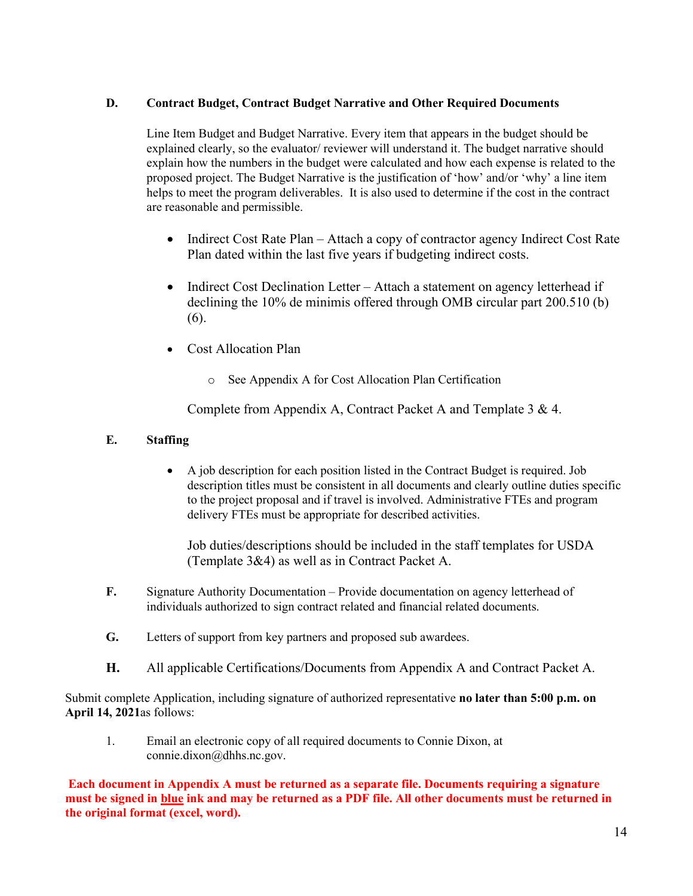### **D. Contract Budget, Contract Budget Narrative and Other Required Documents**

Line Item Budget and Budget Narrative. Every item that appears in the budget should be explained clearly, so the evaluator/ reviewer will understand it. The budget narrative should explain how the numbers in the budget were calculated and how each expense is related to the proposed project. The Budget Narrative is the justification of 'how' and/or 'why' a line item helps to meet the program deliverables. It is also used to determine if the cost in the contract are reasonable and permissible.

- Indirect Cost Rate Plan Attach a copy of contractor agency Indirect Cost Rate Plan dated within the last five years if budgeting indirect costs.
- Indirect Cost Declination Letter Attach a statement on agency letterhead if declining the 10% de minimis offered through OMB circular part 200.510 (b) (6).
- Cost Allocation Plan
	- o See Appendix A for Cost Allocation Plan Certification

Complete from Appendix A, Contract Packet A and Template 3 & 4.

### **E. Staffing**

• A job description for each position listed in the Contract Budget is required. Job description titles must be consistent in all documents and clearly outline duties specific to the project proposal and if travel is involved. Administrative FTEs and program delivery FTEs must be appropriate for described activities.

Job duties/descriptions should be included in the staff templates for USDA (Template 3&4) as well as in Contract Packet A.

- **F.** Signature Authority Documentation Provide documentation on agency letterhead of individuals authorized to sign contract related and financial related documents.
- **G.** Letters of support from key partners and proposed sub awardees.
- **H.** All applicable Certifications/Documents from Appendix A and Contract Packet A.

Submit complete Application, including signature of authorized representative **no later than 5:00 p.m. on April 14, 2021**as follows:

1. Email an electronic copy of all required documents to Connie Dixon, at connie.dixon@dhhs.nc.gov.

**Each document in Appendix A must be returned as a separate file. Documents requiring a signature must be signed in blue ink and may be returned as a PDF file. All other documents must be returned in the original format (excel, word).**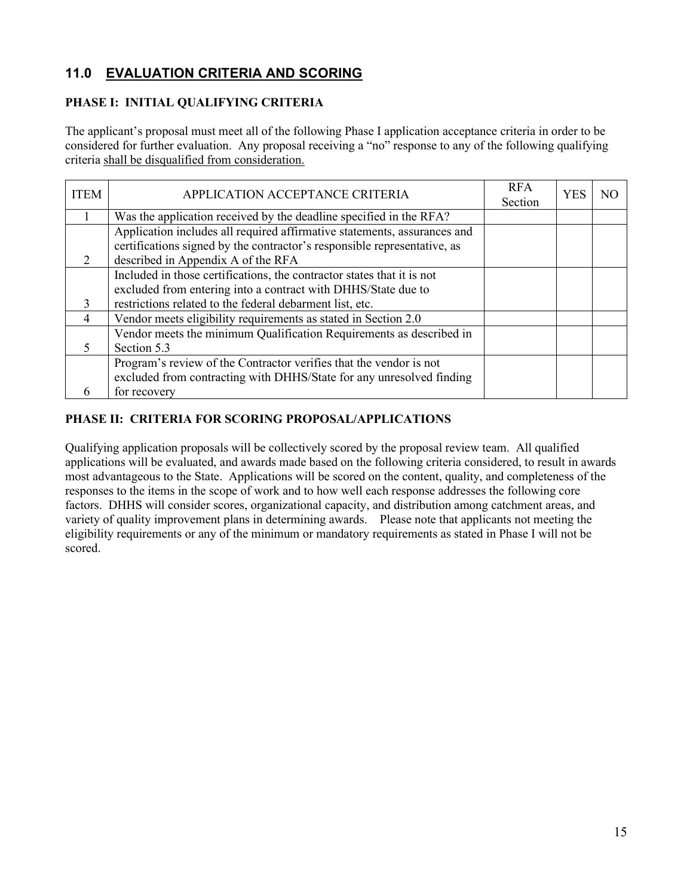### **11.0 EVALUATION CRITERIA AND SCORING**

### **PHASE I: INITIAL QUALIFYING CRITERIA**

The applicant's proposal must meet all of the following Phase I application acceptance criteria in order to be considered for further evaluation. Any proposal receiving a "no" response to any of the following qualifying criteria shall be disqualified from consideration.

| <b>ITEM</b>    | APPLICATION ACCEPTANCE CRITERIA                                          | <b>RFA</b><br>Section | <b>YES</b> | N <sub>O</sub> |
|----------------|--------------------------------------------------------------------------|-----------------------|------------|----------------|
|                | Was the application received by the deadline specified in the RFA?       |                       |            |                |
|                | Application includes all required affirmative statements, assurances and |                       |            |                |
|                | certifications signed by the contractor's responsible representative, as |                       |            |                |
| $\mathcal{L}$  | described in Appendix A of the RFA                                       |                       |            |                |
|                | Included in those certifications, the contractor states that it is not   |                       |            |                |
|                | excluded from entering into a contract with DHHS/State due to            |                       |            |                |
| 3              | restrictions related to the federal debarment list, etc.                 |                       |            |                |
| $\overline{4}$ | Vendor meets eligibility requirements as stated in Section 2.0           |                       |            |                |
|                | Vendor meets the minimum Qualification Requirements as described in      |                       |            |                |
|                | Section 5.3                                                              |                       |            |                |
|                | Program's review of the Contractor verifies that the vendor is not       |                       |            |                |
|                | excluded from contracting with DHHS/State for any unresolved finding     |                       |            |                |
|                | for recovery                                                             |                       |            |                |

### **PHASE II: CRITERIA FOR SCORING PROPOSAL/APPLICATIONS**

Qualifying application proposals will be collectively scored by the proposal review team. All qualified applications will be evaluated, and awards made based on the following criteria considered, to result in awards most advantageous to the State. Applications will be scored on the content, quality, and completeness of the responses to the items in the scope of work and to how well each response addresses the following core factors. DHHS will consider scores, organizational capacity, and distribution among catchment areas, and variety of quality improvement plans in determining awards. Please note that applicants not meeting the eligibility requirements or any of the minimum or mandatory requirements as stated in Phase I will not be scored.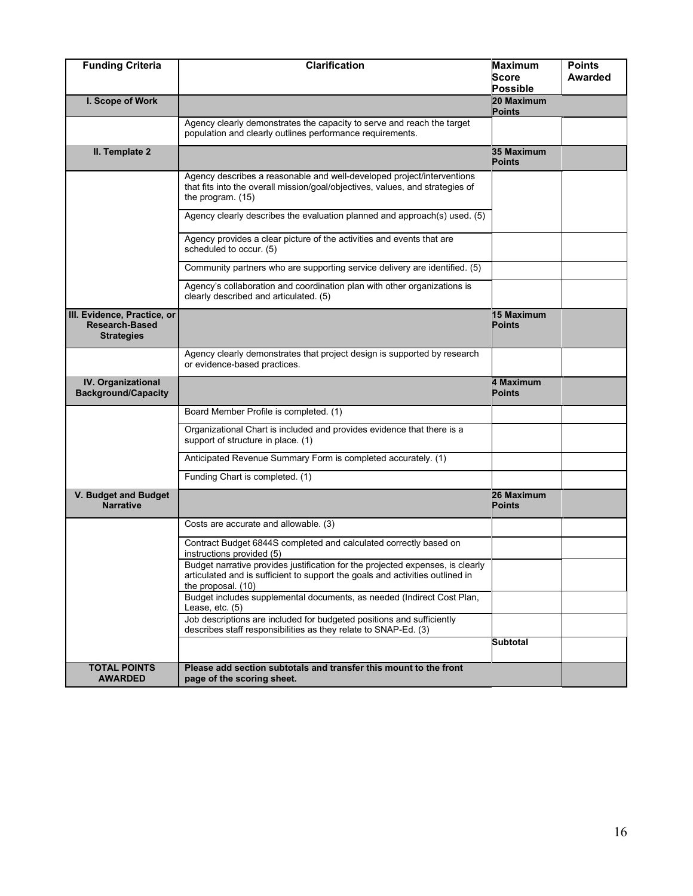| <b>Funding Criteria</b>                                                   | <b>Clarification</b>                                                                                                                                                                  | <b>Maximum</b><br>Score<br><b>Possible</b> | <b>Points</b><br><b>Awarded</b> |
|---------------------------------------------------------------------------|---------------------------------------------------------------------------------------------------------------------------------------------------------------------------------------|--------------------------------------------|---------------------------------|
| I. Scope of Work                                                          |                                                                                                                                                                                       | 20 Maximum<br><b>Points</b>                |                                 |
|                                                                           | Agency clearly demonstrates the capacity to serve and reach the target<br>population and clearly outlines performance requirements.                                                   |                                            |                                 |
| II. Template 2                                                            |                                                                                                                                                                                       | 35 Maximum<br><b>Points</b>                |                                 |
|                                                                           | Agency describes a reasonable and well-developed project/interventions<br>that fits into the overall mission/goal/objectives, values, and strategies of<br>the program. (15)          |                                            |                                 |
|                                                                           | Agency clearly describes the evaluation planned and approach(s) used. (5)                                                                                                             |                                            |                                 |
|                                                                           | Agency provides a clear picture of the activities and events that are<br>scheduled to occur. (5)                                                                                      |                                            |                                 |
|                                                                           | Community partners who are supporting service delivery are identified. (5)                                                                                                            |                                            |                                 |
|                                                                           | Agency's collaboration and coordination plan with other organizations is<br>clearly described and articulated. (5)                                                                    |                                            |                                 |
| III. Evidence, Practice, or<br><b>Research-Based</b><br><b>Strategies</b> |                                                                                                                                                                                       | <b>15 Maximum</b><br><b>Points</b>         |                                 |
|                                                                           | Agency clearly demonstrates that project design is supported by research<br>or evidence-based practices.                                                                              |                                            |                                 |
| IV. Organizational<br><b>Background/Capacity</b>                          |                                                                                                                                                                                       | 4 Maximum<br><b>Points</b>                 |                                 |
|                                                                           | Board Member Profile is completed. (1)                                                                                                                                                |                                            |                                 |
|                                                                           | Organizational Chart is included and provides evidence that there is a<br>support of structure in place. (1)                                                                          |                                            |                                 |
|                                                                           | Anticipated Revenue Summary Form is completed accurately. (1)                                                                                                                         |                                            |                                 |
|                                                                           | Funding Chart is completed. (1)                                                                                                                                                       |                                            |                                 |
| V. Budget and Budget<br><b>Narrative</b>                                  |                                                                                                                                                                                       | 26 Maximum<br><b>Points</b>                |                                 |
|                                                                           | Costs are accurate and allowable. (3)                                                                                                                                                 |                                            |                                 |
|                                                                           | Contract Budget 6844S completed and calculated correctly based on<br>instructions provided (5)                                                                                        |                                            |                                 |
|                                                                           | Budget narrative provides justification for the projected expenses, is clearly<br>articulated and is sufficient to support the goals and activities outlined in<br>the proposal. (10) |                                            |                                 |
|                                                                           | Budget includes supplemental documents, as needed (Indirect Cost Plan,<br>Lease, etc. (5)                                                                                             |                                            |                                 |
|                                                                           | Job descriptions are included for budgeted positions and sufficiently<br>describes staff responsibilities as they relate to SNAP-Ed. (3)                                              |                                            |                                 |
|                                                                           |                                                                                                                                                                                       | <b>Subtotal</b>                            |                                 |
| <b>TOTAL POINTS</b><br><b>AWARDED</b>                                     | Please add section subtotals and transfer this mount to the front<br>page of the scoring sheet.                                                                                       |                                            |                                 |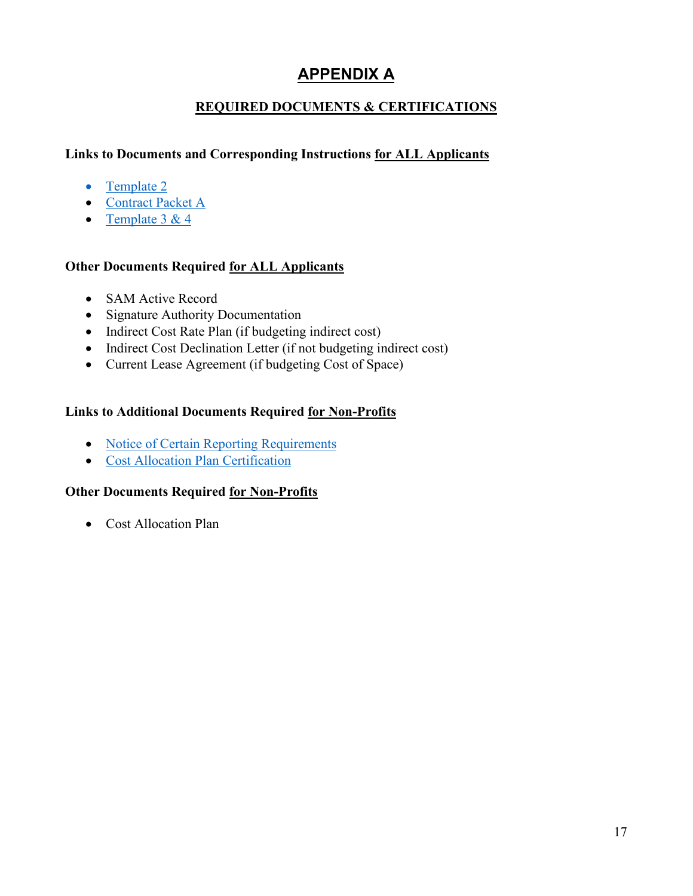# **APPENDIX A**

### **REQUIRED DOCUMENTS & CERTIFICATIONS**

### <span id="page-16-0"></span>**Links to Documents and Corresponding Instructions for ALL Applicants**

- [Template 2](#page-17-0)
- [Contract](#page-18-0) Packet A
- Template  $3 & 4$

### **Other Documents Required for ALL Applicants**

- SAM Active Record
- Signature Authority Documentation
- Indirect Cost Rate Plan (if budgeting indirect cost)
- Indirect Cost Declination Letter (if not budgeting indirect cost)
- Current Lease Agreement (if budgeting Cost of Space)

### **Links to Additional Documents Required for Non-Profits**

- [Notice of Certain Reporting Requirements](#page-20-0)
- [Cost Allocation Plan Certification](#page-21-0)

### **Other Documents Required for Non-Profits**

• Cost Allocation Plan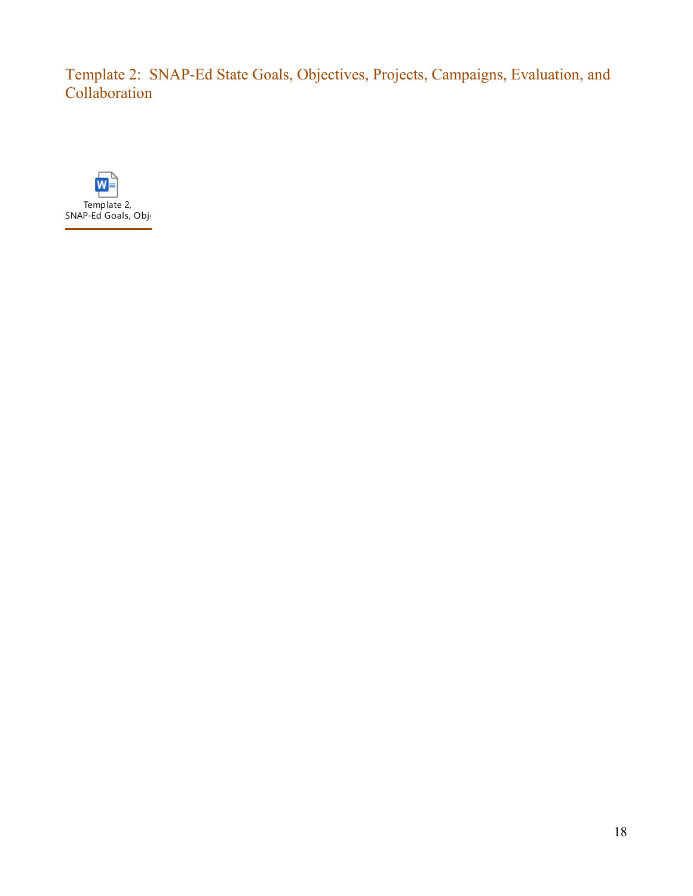<span id="page-17-0"></span>Template 2: SNAP-Ed State Goals, Objectives, Projects, Campaigns, Evaluation, and Collaboration

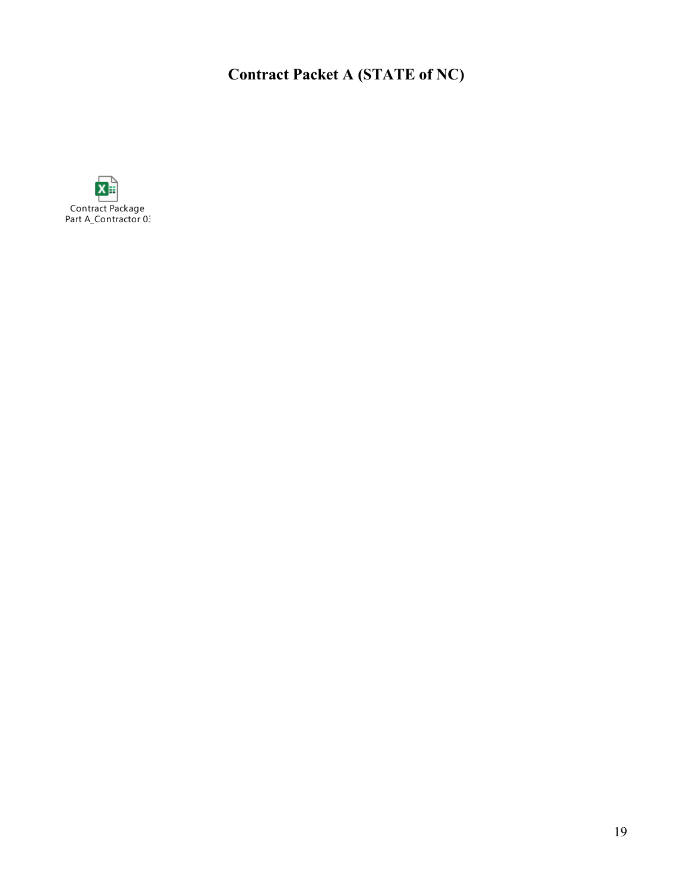# **Contract Packet A (STATE of NC)**

<span id="page-18-0"></span>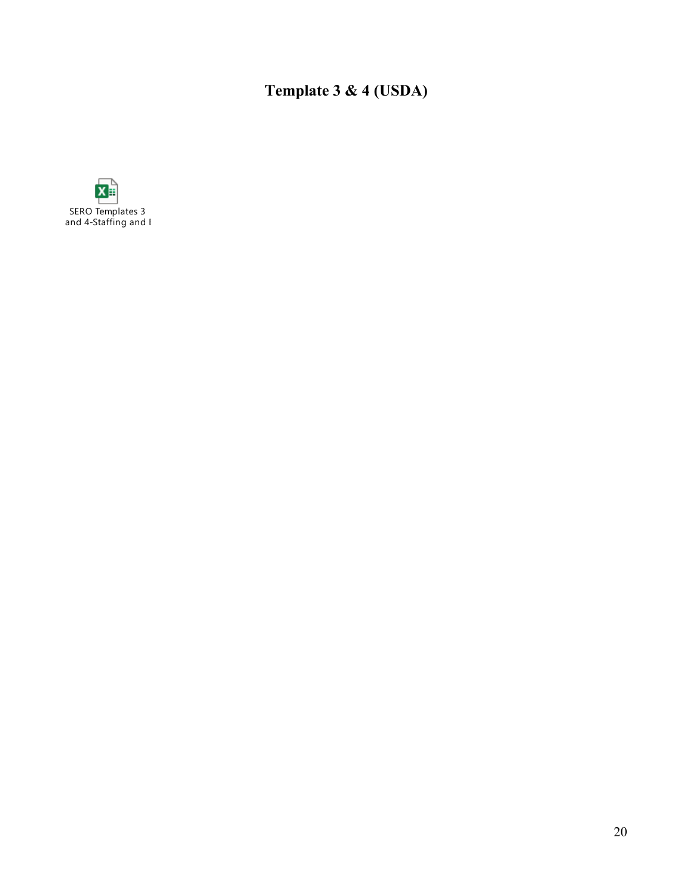**Template 3 & 4 (USDA)**

<span id="page-19-0"></span>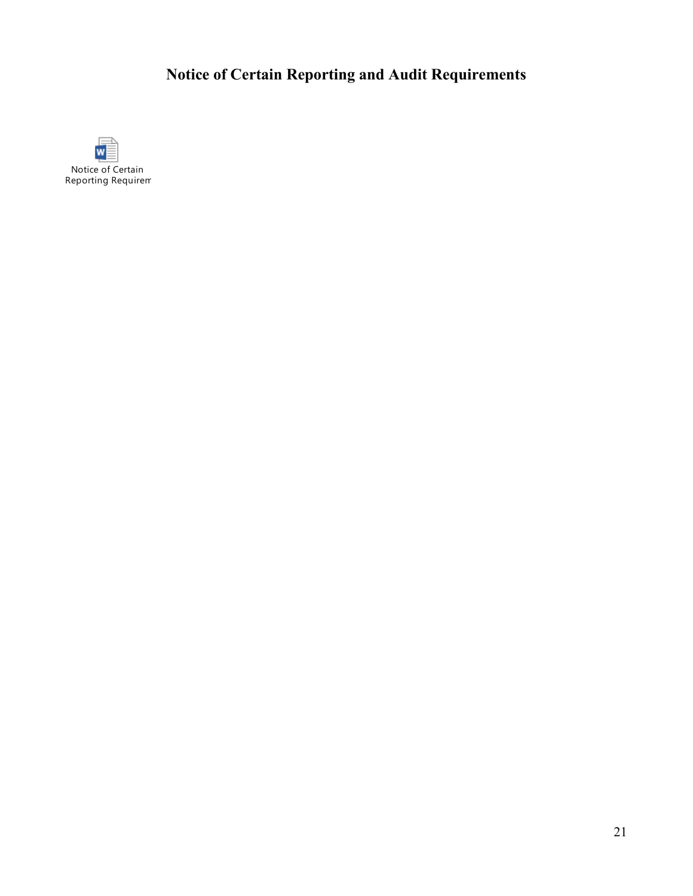# **Notice of Certain Reporting and Audit Requirements**

<span id="page-20-0"></span>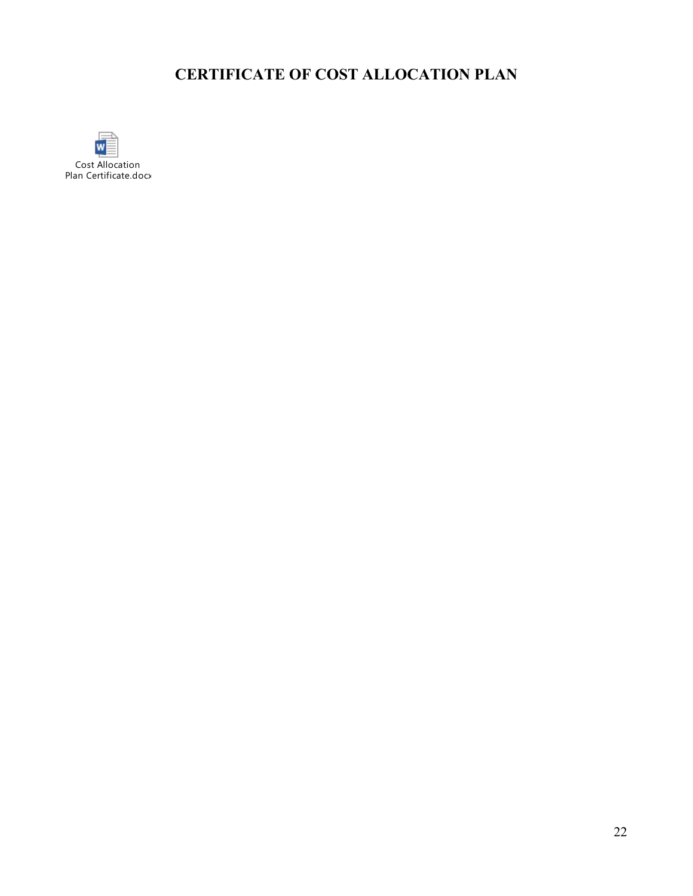# **CERTIFICATE OF COST ALLOCATION PLAN**

<span id="page-21-0"></span>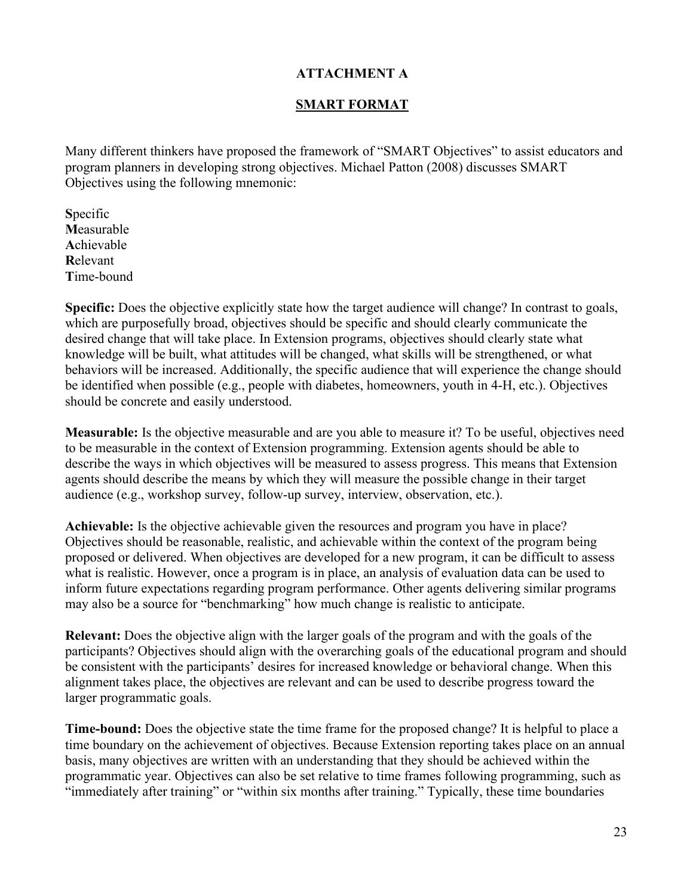### **ATTACHMENT A**

### **SMART FORMAT**

<span id="page-22-0"></span>Many different thinkers have proposed the framework of "SMART Objectives" to assist educators and program planners in developing strong objectives. Michael Patton (2008) discusses SMART Objectives using the following mnemonic:

**S**pecific **M**easurable **A**chievable **R**elevant **T**ime-bound

**Specific:** Does the objective explicitly state how the target audience will change? In contrast to goals, which are purposefully broad, objectives should be specific and should clearly communicate the desired change that will take place. In Extension programs, objectives should clearly state what knowledge will be built, what attitudes will be changed, what skills will be strengthened, or what behaviors will be increased. Additionally, the specific audience that will experience the change should be identified when possible (e.g., people with diabetes, homeowners, youth in 4-H, etc.). Objectives should be concrete and easily understood.

**Measurable:** Is the objective measurable and are you able to measure it? To be useful, objectives need to be measurable in the context of Extension programming. Extension agents should be able to describe the ways in which objectives will be measured to assess progress. This means that Extension agents should describe the means by which they will measure the possible change in their target audience (e.g., workshop survey, follow-up survey, interview, observation, etc.).

**Achievable:** Is the objective achievable given the resources and program you have in place? Objectives should be reasonable, realistic, and achievable within the context of the program being proposed or delivered. When objectives are developed for a new program, it can be difficult to assess what is realistic. However, once a program is in place, an analysis of evaluation data can be used to inform future expectations regarding program performance. Other agents delivering similar programs may also be a source for "benchmarking" how much change is realistic to anticipate.

**Relevant:** Does the objective align with the larger goals of the program and with the goals of the participants? Objectives should align with the overarching goals of the educational program and should be consistent with the participants' desires for increased knowledge or behavioral change. When this alignment takes place, the objectives are relevant and can be used to describe progress toward the larger programmatic goals.

**Time-bound:** Does the objective state the time frame for the proposed change? It is helpful to place a time boundary on the achievement of objectives. Because Extension reporting takes place on an annual basis, many objectives are written with an understanding that they should be achieved within the programmatic year. Objectives can also be set relative to time frames following programming, such as "immediately after training" or "within six months after training." Typically, these time boundaries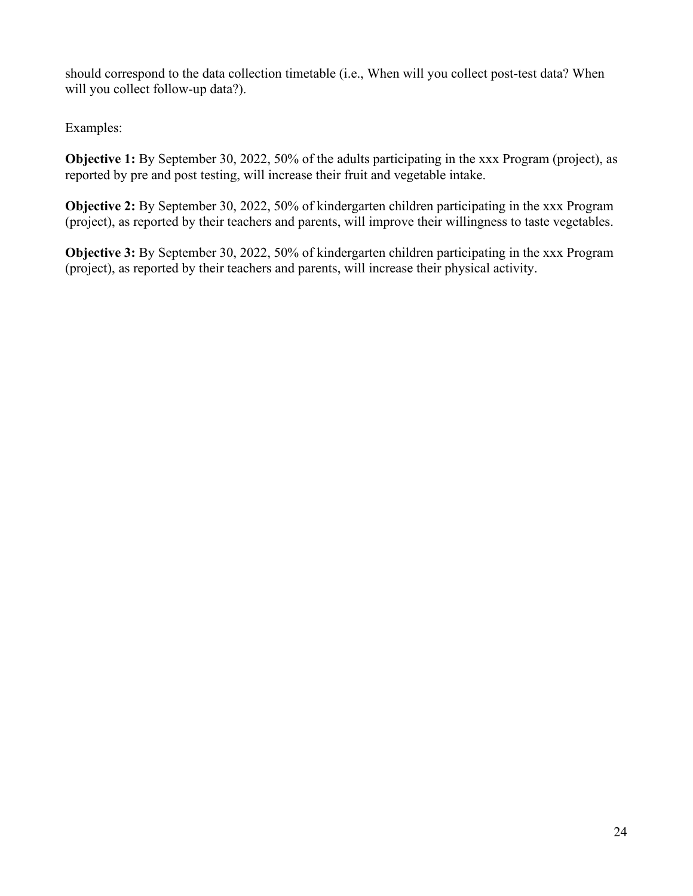should correspond to the data collection timetable (i.e., When will you collect post-test data? When will you collect follow-up data?).

Examples:

**Objective 1:** By September 30, 2022, 50% of the adults participating in the xxx Program (project), as reported by pre and post testing, will increase their fruit and vegetable intake.

**Objective 2:** By September 30, 2022, 50% of kindergarten children participating in the xxx Program (project), as reported by their teachers and parents, will improve their willingness to taste vegetables.

**Objective 3:** By September 30, 2022, 50% of kindergarten children participating in the xxx Program (project), as reported by their teachers and parents, will increase their physical activity.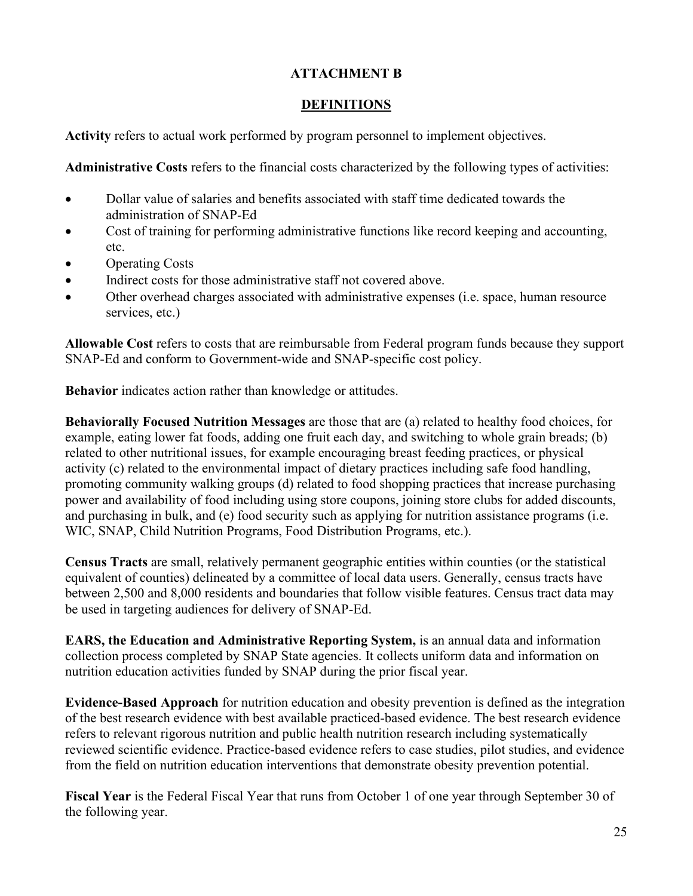### **ATTACHMENT B**

### **DEFINITIONS**

<span id="page-24-0"></span>**Activity** refers to actual work performed by program personnel to implement objectives.

**Administrative Costs** refers to the financial costs characterized by the following types of activities:

- Dollar value of salaries and benefits associated with staff time dedicated towards the administration of SNAP-Ed
- Cost of training for performing administrative functions like record keeping and accounting, etc.
- **Operating Costs**
- Indirect costs for those administrative staff not covered above.
- Other overhead charges associated with administrative expenses (i.e. space, human resource services, etc.)

**Allowable Cost** refers to costs that are reimbursable from Federal program funds because they support SNAP-Ed and conform to Government-wide and SNAP-specific cost policy.

**Behavior** indicates action rather than knowledge or attitudes.

**Behaviorally Focused Nutrition Messages** are those that are (a) related to healthy food choices, for example, eating lower fat foods, adding one fruit each day, and switching to whole grain breads; (b) related to other nutritional issues, for example encouraging breast feeding practices, or physical activity (c) related to the environmental impact of dietary practices including safe food handling, promoting community walking groups (d) related to food shopping practices that increase purchasing power and availability of food including using store coupons, joining store clubs for added discounts, and purchasing in bulk, and (e) food security such as applying for nutrition assistance programs (i.e. WIC, SNAP, Child Nutrition Programs, Food Distribution Programs, etc.).

**Census Tracts** are small, relatively permanent geographic entities within counties (or the statistical equivalent of counties) delineated by a committee of local data users. Generally, census tracts have between 2,500 and 8,000 residents and boundaries that follow visible features. Census tract data may be used in targeting audiences for delivery of SNAP-Ed.

**EARS, the Education and Administrative Reporting System,** is an annual data and information collection process completed by SNAP State agencies. It collects uniform data and information on nutrition education activities funded by SNAP during the prior fiscal year.

**Evidence-Based Approach** for nutrition education and obesity prevention is defined as the integration of the best research evidence with best available practiced-based evidence. The best research evidence refers to relevant rigorous nutrition and public health nutrition research including systematically reviewed scientific evidence. Practice-based evidence refers to case studies, pilot studies, and evidence from the field on nutrition education interventions that demonstrate obesity prevention potential.

**Fiscal Year** is the Federal Fiscal Year that runs from October 1 of one year through September 30 of the following year.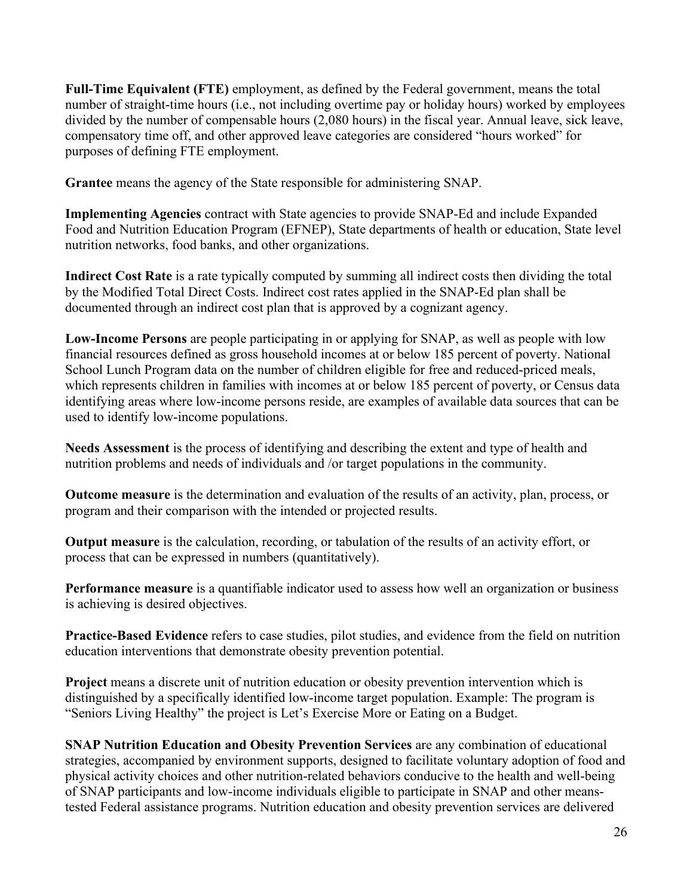**Full-Time Equivalent (FTE)** employment, as defined by the Federal government, means the total number of straight-time hours (i.e., not including overtime pay or holiday hours) worked by employees divided by the number of compensable hours (2,080 hours) in the fiscal year. Annual leave, sick leave, compensatory time off, and other approved leave categories are considered "hours worked" for purposes of defining FTE employment.

**Grantee** means the agency of the State responsible for administering SNAP.

**Implementing Agencies** contract with State agencies to provide SNAP-Ed and include Expanded Food and Nutrition Education Program (EFNEP), State departments of health or education, State level nutrition networks, food banks, and other organizations.

**Indirect Cost Rate** is a rate typically computed by summing all indirect costs then dividing the total by the Modified Total Direct Costs. Indirect cost rates applied in the SNAP-Ed plan shall be documented through an indirect cost plan that is approved by a cognizant agency.

**Low-Income Persons** are people participating in or applying for SNAP, as well as people with low financial resources defined as gross household incomes at or below 185 percent of poverty. National School Lunch Program data on the number of children eligible for free and reduced-priced meals, which represents children in families with incomes at or below 185 percent of poverty, or Census data identifying areas where low-income persons reside, are examples of available data sources that can be used to identify low-income populations.

**Needs Assessment** is the process of identifying and describing the extent and type of health and nutrition problems and needs of individuals and /or target populations in the community.

**Outcome measure** is the determination and evaluation of the results of an activity, plan, process, or program and their comparison with the intended or projected results.

**Output measure** is the calculation, recording, or tabulation of the results of an activity effort, or process that can be expressed in numbers (quantitatively).

**Performance measure** is a quantifiable indicator used to assess how well an organization or business is achieving is desired objectives.

**Practice-Based Evidence** refers to case studies, pilot studies, and evidence from the field on nutrition education interventions that demonstrate obesity prevention potential.

**Project** means a discrete unit of nutrition education or obesity prevention intervention which is distinguished by a specifically identified low-income target population. Example: The program is "Seniors Living Healthy" the project is Let's Exercise More or Eating on a Budget.

**SNAP Nutrition Education and Obesity Prevention Services** are any combination of educational strategies, accompanied by environment supports, designed to facilitate voluntary adoption of food and physical activity choices and other nutrition-related behaviors conducive to the health and well-being of SNAP participants and low-income individuals eligible to participate in SNAP and other meanstested Federal assistance programs. Nutrition education and obesity prevention services are delivered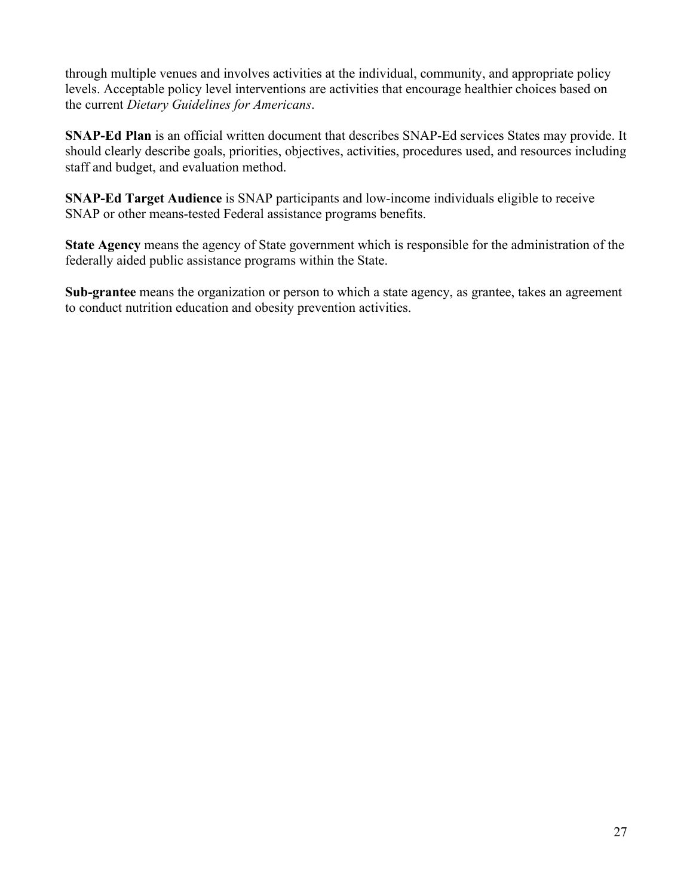through multiple venues and involves activities at the individual, community, and appropriate policy levels. Acceptable policy level interventions are activities that encourage healthier choices based on the current *Dietary Guidelines for Americans*.

**SNAP-Ed Plan** is an official written document that describes SNAP-Ed services States may provide. It should clearly describe goals, priorities, objectives, activities, procedures used, and resources including staff and budget, and evaluation method.

**SNAP-Ed Target Audience** is SNAP participants and low-income individuals eligible to receive SNAP or other means-tested Federal assistance programs benefits.

**State Agency** means the agency of State government which is responsible for the administration of the federally aided public assistance programs within the State.

**Sub-grantee** means the organization or person to which a state agency, as grantee, takes an agreement to conduct nutrition education and obesity prevention activities.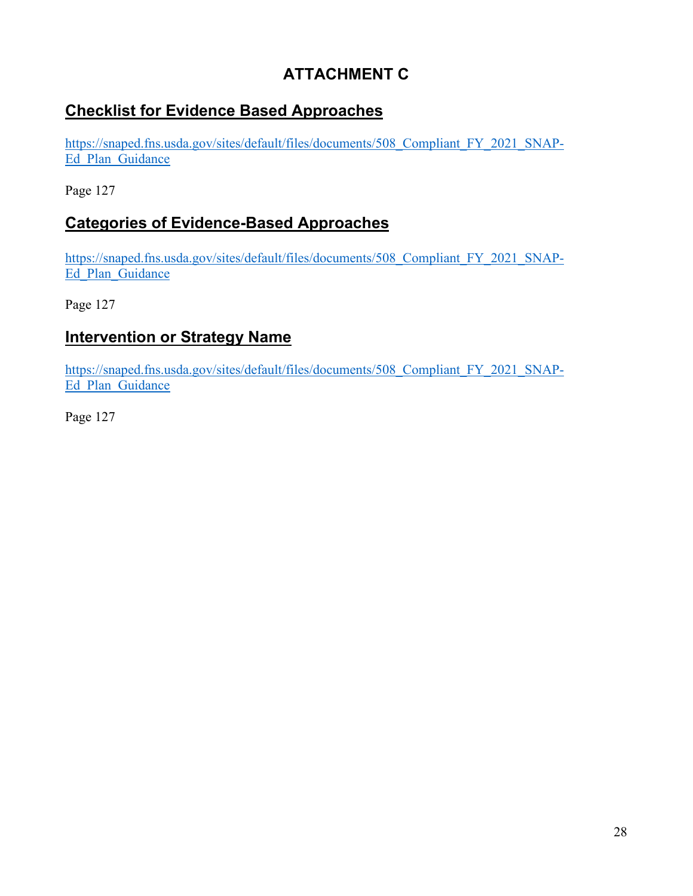# **ATTACHMENT C**

# **Checklist for Evidence Based Approaches**

[https://snaped.fns.usda.gov/sites/default/files/documents/508\\_Compliant\\_FY\\_2021\\_SNAP-](https://snaped.fns.usda.gov/sites/default/files/documents/508_Compliant_FY_2021_SNAP-Ed_Plan_Guidance)Ed Plan Guidance

Page 127

## **Categories of Evidence-Based Approaches**

[https://snaped.fns.usda.gov/sites/default/files/documents/508\\_Compliant\\_FY\\_2021\\_SNAP-](https://snaped.fns.usda.gov/sites/default/files/documents/508_Compliant_FY_2021_SNAP-Ed_Plan_Guidance_04-13-2020_No_Doc_Number.pdf)Ed Plan Guidance

Page 127

### **Intervention or Strategy Name**

[https://snaped.fns.usda.gov/sites/default/files/documents/508\\_Compliant\\_FY\\_2021\\_SNAP-](https://snaped.fns.usda.gov/sites/default/files/documents/508_Compliant_FY_2021_SNAP-Ed_Plan_Guidance_04-13-2020_No_Doc_Number.pdf)Ed Plan Guidance

Page 127